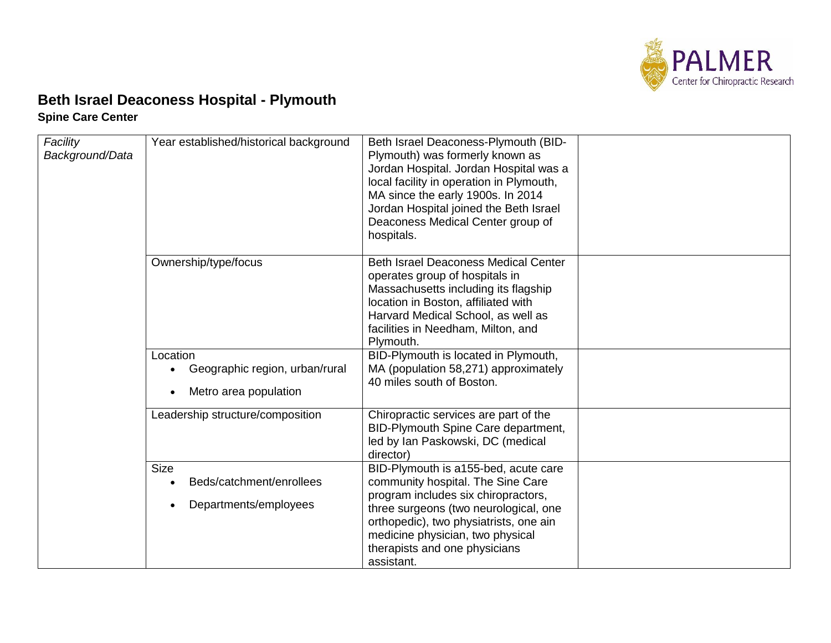

## **Beth Israel Deaconess Hospital - Plymouth Spine Care Center**

| Facility<br>Background/Data | Year established/historical background                                                        | Beth Israel Deaconess-Plymouth (BID-<br>Plymouth) was formerly known as<br>Jordan Hospital. Jordan Hospital was a<br>local facility in operation in Plymouth,<br>MA since the early 1900s. In 2014<br>Jordan Hospital joined the Beth Israel<br>Deaconess Medical Center group of<br>hospitals. |  |
|-----------------------------|-----------------------------------------------------------------------------------------------|-------------------------------------------------------------------------------------------------------------------------------------------------------------------------------------------------------------------------------------------------------------------------------------------------|--|
|                             | Ownership/type/focus                                                                          | <b>Beth Israel Deaconess Medical Center</b><br>operates group of hospitals in<br>Massachusetts including its flagship<br>location in Boston, affiliated with<br>Harvard Medical School, as well as<br>facilities in Needham, Milton, and<br>Plymouth.                                           |  |
|                             | Location<br>Geographic region, urban/rural<br>$\bullet$<br>Metro area population<br>$\bullet$ | BID-Plymouth is located in Plymouth,<br>MA (population 58,271) approximately<br>40 miles south of Boston.                                                                                                                                                                                       |  |
|                             | Leadership structure/composition                                                              | Chiropractic services are part of the<br>BID-Plymouth Spine Care department,<br>led by Ian Paskowski, DC (medical<br>director)                                                                                                                                                                  |  |
|                             | <b>Size</b><br>Beds/catchment/enrollees<br>Departments/employees                              | BID-Plymouth is a155-bed, acute care<br>community hospital. The Sine Care<br>program includes six chiropractors,<br>three surgeons (two neurological, one<br>orthopedic), two physiatrists, one ain<br>medicine physician, two physical<br>therapists and one physicians<br>assistant.          |  |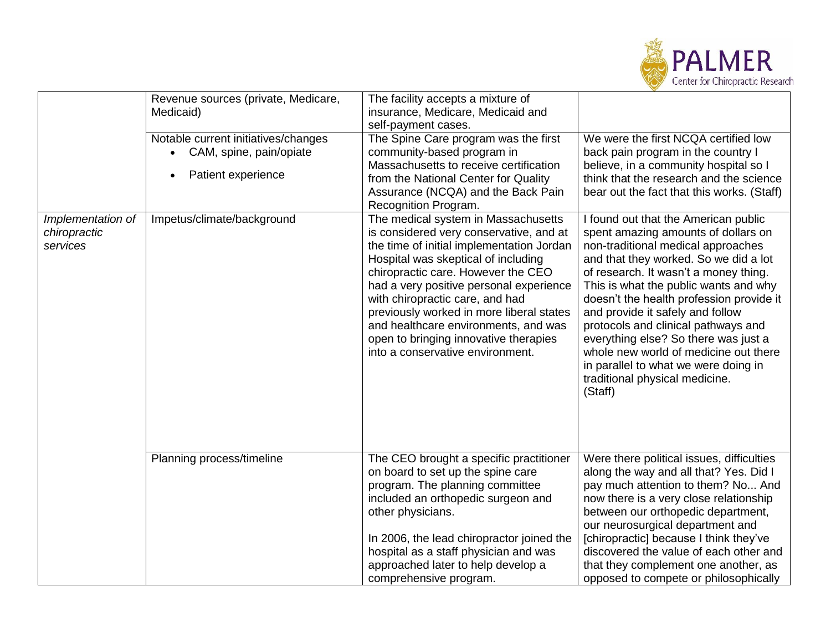

| Notable current initiatives/changes<br>• CAM, spine, pain/opiate | The Spine Care program was the first                                                                                                                                                                                                                                                                                                                                                                                                                    |                                                                                                                                                                                                                                                                                                                                                                                                                                                                                                                                           |
|------------------------------------------------------------------|---------------------------------------------------------------------------------------------------------------------------------------------------------------------------------------------------------------------------------------------------------------------------------------------------------------------------------------------------------------------------------------------------------------------------------------------------------|-------------------------------------------------------------------------------------------------------------------------------------------------------------------------------------------------------------------------------------------------------------------------------------------------------------------------------------------------------------------------------------------------------------------------------------------------------------------------------------------------------------------------------------------|
| Patient experience                                               | community-based program in<br>Massachusetts to receive certification<br>from the National Center for Quality<br>Assurance (NCQA) and the Back Pain                                                                                                                                                                                                                                                                                                      | We were the first NCQA certified low<br>back pain program in the country I<br>believe, in a community hospital so I<br>think that the research and the science<br>bear out the fact that this works. (Staff)                                                                                                                                                                                                                                                                                                                              |
| Impetus/climate/background                                       | The medical system in Massachusetts<br>is considered very conservative, and at<br>the time of initial implementation Jordan<br>Hospital was skeptical of including<br>chiropractic care. However the CEO<br>had a very positive personal experience<br>with chiropractic care, and had<br>previously worked in more liberal states<br>and healthcare environments, and was<br>open to bringing innovative therapies<br>into a conservative environment. | I found out that the American public<br>spent amazing amounts of dollars on<br>non-traditional medical approaches<br>and that they worked. So we did a lot<br>of research. It wasn't a money thing.<br>This is what the public wants and why<br>doesn't the health profession provide it<br>and provide it safely and follow<br>protocols and clinical pathways and<br>everything else? So there was just a<br>whole new world of medicine out there<br>in parallel to what we were doing in<br>traditional physical medicine.<br>(Staff) |
| Planning process/timeline                                        | The CEO brought a specific practitioner<br>on board to set up the spine care<br>program. The planning committee<br>included an orthopedic surgeon and<br>other physicians.<br>In 2006, the lead chiropractor joined the<br>hospital as a staff physician and was<br>approached later to help develop a                                                                                                                                                  | Were there political issues, difficulties<br>along the way and all that? Yes. Did I<br>pay much attention to them? No And<br>now there is a very close relationship<br>between our orthopedic department,<br>our neurosurgical department and<br>[chiropractic] because I think they've<br>discovered the value of each other and<br>that they complement one another, as<br>opposed to compete or philosophically                                                                                                                        |
|                                                                  |                                                                                                                                                                                                                                                                                                                                                                                                                                                         | Recognition Program.<br>comprehensive program.                                                                                                                                                                                                                                                                                                                                                                                                                                                                                            |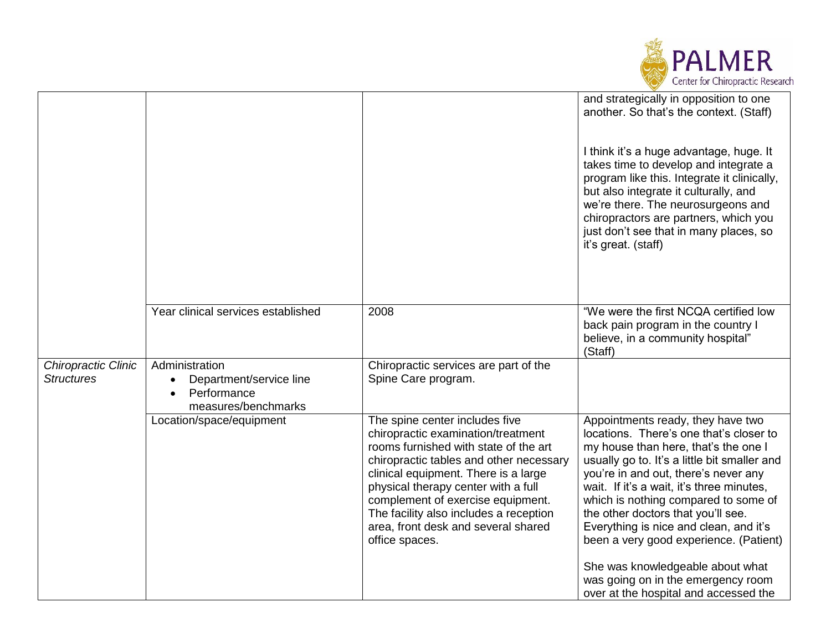

|                                          |                                                                                              |                                                                                                                                                                                                                                                                                                                                                                                 | and strategically in opposition to one<br>another. So that's the context. (Staff)<br>I think it's a huge advantage, huge. It<br>takes time to develop and integrate a<br>program like this. Integrate it clinically,<br>but also integrate it culturally, and<br>we're there. The neurosurgeons and<br>chiropractors are partners, which you<br>just don't see that in many places, so<br>it's great. (staff)                                                   |
|------------------------------------------|----------------------------------------------------------------------------------------------|---------------------------------------------------------------------------------------------------------------------------------------------------------------------------------------------------------------------------------------------------------------------------------------------------------------------------------------------------------------------------------|-----------------------------------------------------------------------------------------------------------------------------------------------------------------------------------------------------------------------------------------------------------------------------------------------------------------------------------------------------------------------------------------------------------------------------------------------------------------|
|                                          | Year clinical services established                                                           | 2008                                                                                                                                                                                                                                                                                                                                                                            | "We were the first NCQA certified low<br>back pain program in the country I<br>believe, in a community hospital"<br>(Staff)                                                                                                                                                                                                                                                                                                                                     |
| Chiropractic Clinic<br><b>Structures</b> | Administration<br>Department/service line<br>$\bullet$<br>Performance<br>measures/benchmarks | Chiropractic services are part of the<br>Spine Care program.                                                                                                                                                                                                                                                                                                                    |                                                                                                                                                                                                                                                                                                                                                                                                                                                                 |
|                                          | Location/space/equipment                                                                     | The spine center includes five<br>chiropractic examination/treatment<br>rooms furnished with state of the art<br>chiropractic tables and other necessary<br>clinical equipment. There is a large<br>physical therapy center with a full<br>complement of exercise equipment.<br>The facility also includes a reception<br>area, front desk and several shared<br>office spaces. | Appointments ready, they have two<br>locations. There's one that's closer to<br>my house than here, that's the one I<br>usually go to. It's a little bit smaller and<br>you're in and out, there's never any<br>wait. If it's a wait, it's three minutes,<br>which is nothing compared to some of<br>the other doctors that you'll see.<br>Everything is nice and clean, and it's<br>been a very good experience. (Patient)<br>She was knowledgeable about what |
|                                          |                                                                                              |                                                                                                                                                                                                                                                                                                                                                                                 | was going on in the emergency room<br>over at the hospital and accessed the                                                                                                                                                                                                                                                                                                                                                                                     |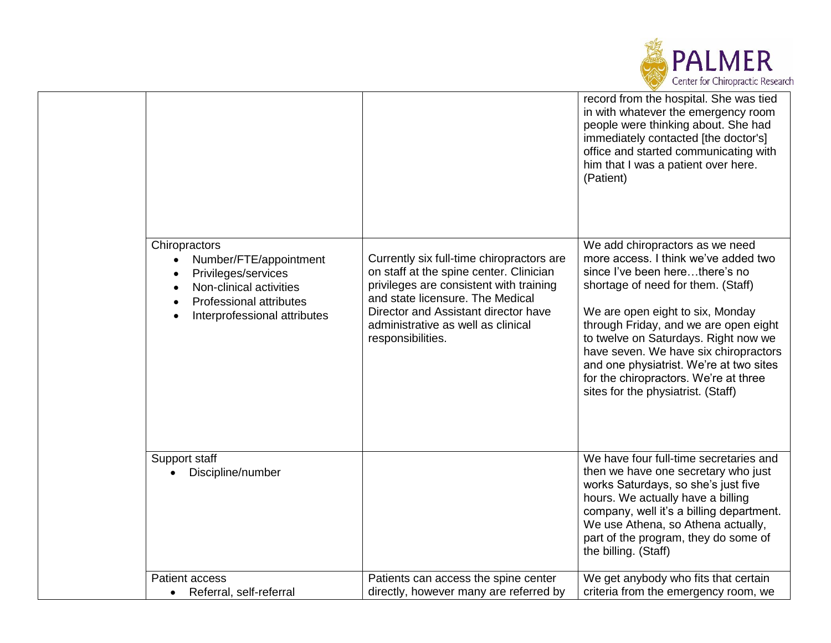

|                                                                                                                                                      |                                                                                                                                                                                                                                                                        | record from the hospital. She was tied<br>in with whatever the emergency room<br>people were thinking about. She had<br>immediately contacted [the doctor's]<br>office and started communicating with<br>him that I was a patient over here.<br>(Patient)                                                                                                                                                                               |
|------------------------------------------------------------------------------------------------------------------------------------------------------|------------------------------------------------------------------------------------------------------------------------------------------------------------------------------------------------------------------------------------------------------------------------|-----------------------------------------------------------------------------------------------------------------------------------------------------------------------------------------------------------------------------------------------------------------------------------------------------------------------------------------------------------------------------------------------------------------------------------------|
| Chiropractors<br>Number/FTE/appointment<br>Privileges/services<br>Non-clinical activities<br>Professional attributes<br>Interprofessional attributes | Currently six full-time chiropractors are<br>on staff at the spine center. Clinician<br>privileges are consistent with training<br>and state licensure. The Medical<br>Director and Assistant director have<br>administrative as well as clinical<br>responsibilities. | We add chiropractors as we need<br>more access. I think we've added two<br>since I've been herethere's no<br>shortage of need for them. (Staff)<br>We are open eight to six, Monday<br>through Friday, and we are open eight<br>to twelve on Saturdays. Right now we<br>have seven. We have six chiropractors<br>and one physiatrist. We're at two sites<br>for the chiropractors. We're at three<br>sites for the physiatrist. (Staff) |
| Support staff<br>Discipline/number                                                                                                                   |                                                                                                                                                                                                                                                                        | We have four full-time secretaries and<br>then we have one secretary who just<br>works Saturdays, so she's just five<br>hours. We actually have a billing<br>company, well it's a billing department.<br>We use Athena, so Athena actually,<br>part of the program, they do some of<br>the billing. (Staff)                                                                                                                             |
| <b>Patient access</b>                                                                                                                                | Patients can access the spine center<br>directly, however many are referred by                                                                                                                                                                                         | We get anybody who fits that certain<br>criteria from the emergency room, we                                                                                                                                                                                                                                                                                                                                                            |
| • Referral, self-referral                                                                                                                            |                                                                                                                                                                                                                                                                        |                                                                                                                                                                                                                                                                                                                                                                                                                                         |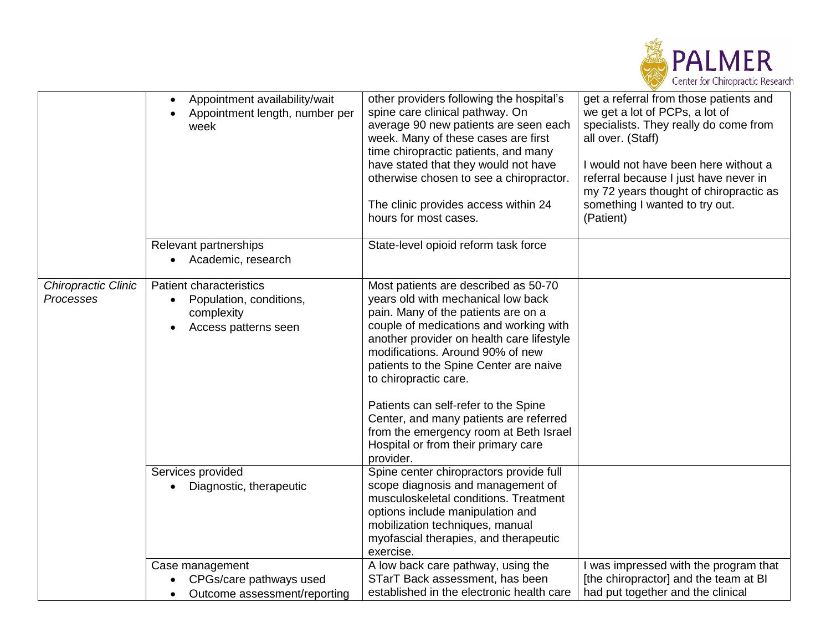

|                                  | Appointment availability/wait<br>Appointment length, number per<br>week                                                   | other providers following the hospital's<br>spine care clinical pathway. On<br>average 90 new patients are seen each<br>week. Many of these cases are first<br>time chiropractic patients, and many<br>have stated that they would not have<br>otherwise chosen to see a chiropractor.<br>The clinic provides access within 24<br>hours for most cases.                                                                                                                                         | get a referral from those patients and<br>we get a lot of PCPs, a lot of<br>specialists. They really do come from<br>all over. (Staff)<br>I would not have been here without a<br>referral because I just have never in<br>my 72 years thought of chiropractic as<br>something I wanted to try out.<br>(Patient) |
|----------------------------------|---------------------------------------------------------------------------------------------------------------------------|-------------------------------------------------------------------------------------------------------------------------------------------------------------------------------------------------------------------------------------------------------------------------------------------------------------------------------------------------------------------------------------------------------------------------------------------------------------------------------------------------|------------------------------------------------------------------------------------------------------------------------------------------------------------------------------------------------------------------------------------------------------------------------------------------------------------------|
|                                  | Relevant partnerships<br>Academic, research                                                                               | State-level opioid reform task force                                                                                                                                                                                                                                                                                                                                                                                                                                                            |                                                                                                                                                                                                                                                                                                                  |
| Chiropractic Clinic<br>Processes | <b>Patient characteristics</b><br>Population, conditions,<br>$\bullet$<br>complexity<br>Access patterns seen<br>$\bullet$ | Most patients are described as 50-70<br>years old with mechanical low back<br>pain. Many of the patients are on a<br>couple of medications and working with<br>another provider on health care lifestyle<br>modifications. Around 90% of new<br>patients to the Spine Center are naive<br>to chiropractic care.<br>Patients can self-refer to the Spine<br>Center, and many patients are referred<br>from the emergency room at Beth Israel<br>Hospital or from their primary care<br>provider. |                                                                                                                                                                                                                                                                                                                  |
|                                  | Services provided<br>Diagnostic, therapeutic                                                                              | Spine center chiropractors provide full<br>scope diagnosis and management of<br>musculoskeletal conditions. Treatment<br>options include manipulation and<br>mobilization techniques, manual<br>myofascial therapies, and therapeutic<br>exercise.                                                                                                                                                                                                                                              |                                                                                                                                                                                                                                                                                                                  |
|                                  | Case management<br>CPGs/care pathways used<br>Outcome assessment/reporting<br>$\bullet$                                   | A low back care pathway, using the<br>STarT Back assessment, has been<br>established in the electronic health care                                                                                                                                                                                                                                                                                                                                                                              | was impressed with the program that<br>[the chiropractor] and the team at BI<br>had put together and the clinical                                                                                                                                                                                                |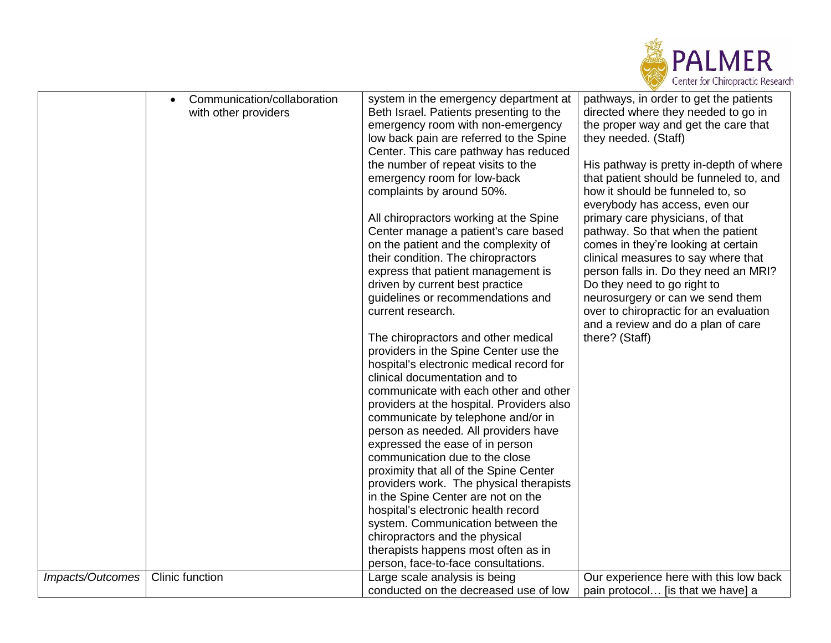

|                  | Communication/collaboration | system in the emergency department at     | pathways, in order to get the patients  |
|------------------|-----------------------------|-------------------------------------------|-----------------------------------------|
|                  | with other providers        | Beth Israel. Patients presenting to the   | directed where they needed to go in     |
|                  |                             | emergency room with non-emergency         | the proper way and get the care that    |
|                  |                             | low back pain are referred to the Spine   | they needed. (Staff)                    |
|                  |                             | Center. This care pathway has reduced     |                                         |
|                  |                             | the number of repeat visits to the        | His pathway is pretty in-depth of where |
|                  |                             | emergency room for low-back               | that patient should be funneled to, and |
|                  |                             | complaints by around 50%.                 | how it should be funneled to, so        |
|                  |                             |                                           | everybody has access, even our          |
|                  |                             | All chiropractors working at the Spine    | primary care physicians, of that        |
|                  |                             | Center manage a patient's care based      | pathway. So that when the patient       |
|                  |                             | on the patient and the complexity of      | comes in they're looking at certain     |
|                  |                             | their condition. The chiropractors        | clinical measures to say where that     |
|                  |                             | express that patient management is        | person falls in. Do they need an MRI?   |
|                  |                             | driven by current best practice           | Do they need to go right to             |
|                  |                             | guidelines or recommendations and         | neurosurgery or can we send them        |
|                  |                             | current research.                         | over to chiropractic for an evaluation  |
|                  |                             |                                           | and a review and do a plan of care      |
|                  |                             | The chiropractors and other medical       | there? (Staff)                          |
|                  |                             | providers in the Spine Center use the     |                                         |
|                  |                             | hospital's electronic medical record for  |                                         |
|                  |                             | clinical documentation and to             |                                         |
|                  |                             |                                           |                                         |
|                  |                             | communicate with each other and other     |                                         |
|                  |                             | providers at the hospital. Providers also |                                         |
|                  |                             | communicate by telephone and/or in        |                                         |
|                  |                             | person as needed. All providers have      |                                         |
|                  |                             | expressed the ease of in person           |                                         |
|                  |                             | communication due to the close            |                                         |
|                  |                             | proximity that all of the Spine Center    |                                         |
|                  |                             | providers work. The physical therapists   |                                         |
|                  |                             | in the Spine Center are not on the        |                                         |
|                  |                             | hospital's electronic health record       |                                         |
|                  |                             | system. Communication between the         |                                         |
|                  |                             | chiropractors and the physical            |                                         |
|                  |                             | therapists happens most often as in       |                                         |
|                  |                             | person, face-to-face consultations.       |                                         |
| Impacts/Outcomes | <b>Clinic function</b>      | Large scale analysis is being             | Our experience here with this low back  |
|                  |                             | conducted on the decreased use of low     | pain protocol [is that we have] a       |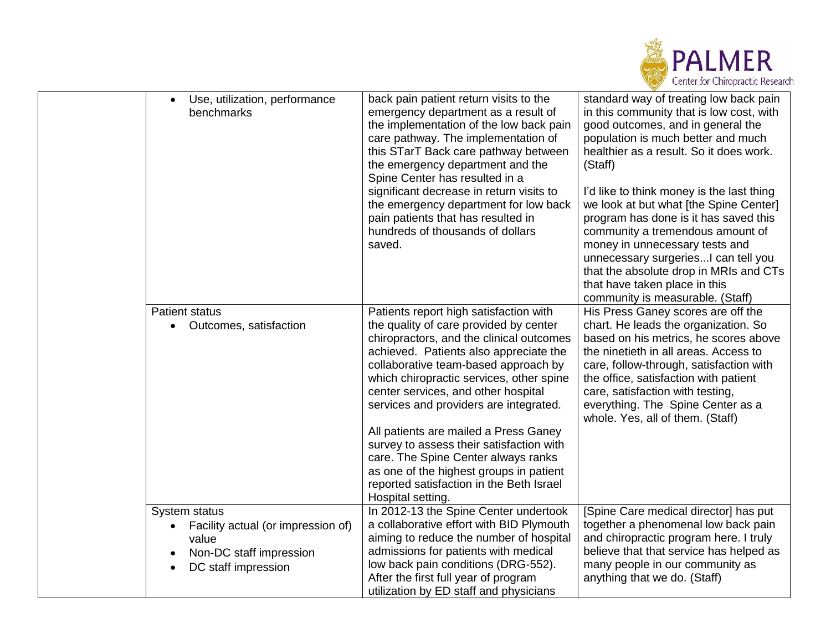

| Use, utilization, performance<br>$\bullet$<br>benchmarks                                                       | back pain patient return visits to the<br>emergency department as a result of<br>the implementation of the low back pain<br>care pathway. The implementation of<br>this STarT Back care pathway between<br>the emergency department and the<br>Spine Center has resulted in a<br>significant decrease in return visits to<br>the emergency department for low back<br>pain patients that has resulted in<br>hundreds of thousands of dollars<br>saved.                                                                                                                              | standard way of treating low back pain<br>in this community that is low cost, with<br>good outcomes, and in general the<br>population is much better and much<br>healthier as a result. So it does work.<br>(Staff)<br>I'd like to think money is the last thing<br>we look at but what [the Spine Center]<br>program has done is it has saved this<br>community a tremendous amount of<br>money in unnecessary tests and<br>unnecessary surgeries I can tell you<br>that the absolute drop in MRIs and CTs<br>that have taken place in this<br>community is measurable. (Staff) |
|----------------------------------------------------------------------------------------------------------------|-------------------------------------------------------------------------------------------------------------------------------------------------------------------------------------------------------------------------------------------------------------------------------------------------------------------------------------------------------------------------------------------------------------------------------------------------------------------------------------------------------------------------------------------------------------------------------------|----------------------------------------------------------------------------------------------------------------------------------------------------------------------------------------------------------------------------------------------------------------------------------------------------------------------------------------------------------------------------------------------------------------------------------------------------------------------------------------------------------------------------------------------------------------------------------|
| Patient status<br>Outcomes, satisfaction<br>$\bullet$                                                          | Patients report high satisfaction with<br>the quality of care provided by center<br>chiropractors, and the clinical outcomes<br>achieved. Patients also appreciate the<br>collaborative team-based approach by<br>which chiropractic services, other spine<br>center services, and other hospital<br>services and providers are integrated.<br>All patients are mailed a Press Ganey<br>survey to assess their satisfaction with<br>care. The Spine Center always ranks<br>as one of the highest groups in patient<br>reported satisfaction in the Beth Israel<br>Hospital setting. | His Press Ganey scores are off the<br>chart. He leads the organization. So<br>based on his metrics, he scores above<br>the ninetieth in all areas. Access to<br>care, follow-through, satisfaction with<br>the office, satisfaction with patient<br>care, satisfaction with testing,<br>everything. The Spine Center as a<br>whole. Yes, all of them. (Staff)                                                                                                                                                                                                                    |
| System status<br>Facility actual (or impression of)<br>value<br>Non-DC staff impression<br>DC staff impression | In 2012-13 the Spine Center undertook<br>a collaborative effort with BID Plymouth<br>aiming to reduce the number of hospital<br>admissions for patients with medical<br>low back pain conditions (DRG-552).<br>After the first full year of program<br>utilization by ED staff and physicians                                                                                                                                                                                                                                                                                       | [Spine Care medical director] has put<br>together a phenomenal low back pain<br>and chiropractic program here. I truly<br>believe that that service has helped as<br>many people in our community as<br>anything that we do. (Staff)                                                                                                                                                                                                                                                                                                                                             |